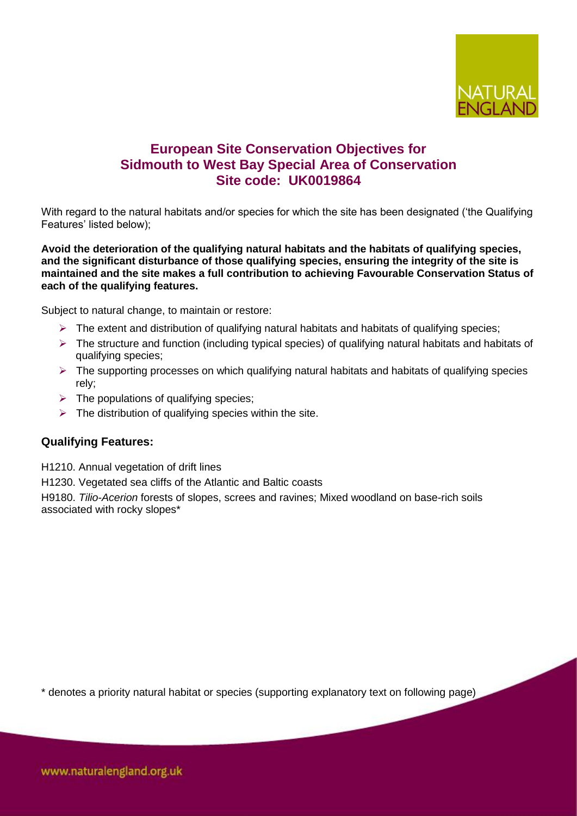

# **European Site Conservation Objectives for Sidmouth to West Bay Special Area of Conservation Site code: UK0019864**

With regard to the natural habitats and/or species for which the site has been designated ("the Qualifying Features' listed below);

**Avoid the deterioration of the qualifying natural habitats and the habitats of qualifying species, and the significant disturbance of those qualifying species, ensuring the integrity of the site is maintained and the site makes a full contribution to achieving Favourable Conservation Status of each of the qualifying features.**

Subject to natural change, to maintain or restore:

- $\triangleright$  The extent and distribution of qualifying natural habitats and habitats of qualifying species;
- $\triangleright$  The structure and function (including typical species) of qualifying natural habitats and habitats of qualifying species;
- $\triangleright$  The supporting processes on which qualifying natural habitats and habitats of qualifying species rely;
- $\triangleright$  The populations of qualifying species:
- $\triangleright$  The distribution of qualifying species within the site.

### **Qualifying Features:**

H1210. Annual vegetation of drift lines

H1230. Vegetated sea cliffs of the Atlantic and Baltic coasts

H9180. *Tilio-Acerion* forests of slopes, screes and ravines; Mixed woodland on base-rich soils associated with rocky slopes\*

\* denotes a priority natural habitat or species (supporting explanatory text on following page)